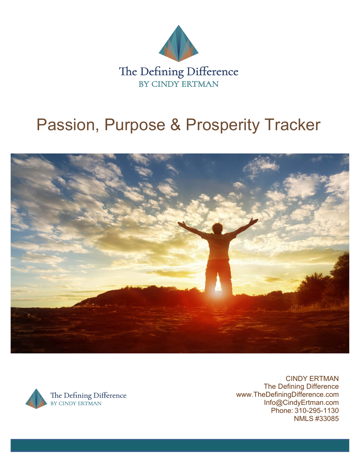

# Passion, Purpose & Prosperity Tracker





CINDY ERTMAN The Defining Difference www.TheDefiningDifference.com Info@CindyErtman.com Phone: 310-295-1130 NMLS #33085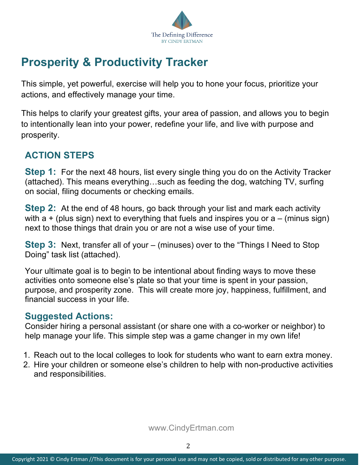

# **Prosperity & Productivity Tracker**

This simple, yet powerful, exercise will help you to hone your focus, prioritize your actions, and effectively manage your time.

This helps to clarify your greatest gifts, your area of passion, and allows you to begin to intentionally lean into your power, redefine your life, and live with purpose and prosperity.

#### **ACTION STEPS**

**Step 1:** For the next 48 hours, list every single thing you do on the Activity Tracker (attached). This means everything…such as feeding the dog, watching TV, surfing on social, filing documents or checking emails.

**Step 2:** At the end of 48 hours, go back through your list and mark each activity with  $a + (plus sign)$  next to everything that fuels and inspires you or  $a - (minus sign)$ next to those things that drain you or are not a wise use of your time.

**Step 3:** Next, transfer all of your – (minuses) over to the "Things I Need to Stop Doing" task list (attached).

Your ultimate goal is to begin to be intentional about finding ways to move these activities onto someone else's plate so that your time is spent in your passion, purpose, and prosperity zone. This will create more joy, happiness, fulfillment, and financial success in your life.

#### **Suggested Actions:**

Consider hiring a personal assistant (or share one with a co-worker or neighbor) to help manage your life. This simple step was a game changer in my own life!

- 1. Reach out to the local colleges to look for students who want to earn extra money.
- 2. Hire your children or someone else's children to help with non-productive activities and responsibilities.

www.CindyErtman.com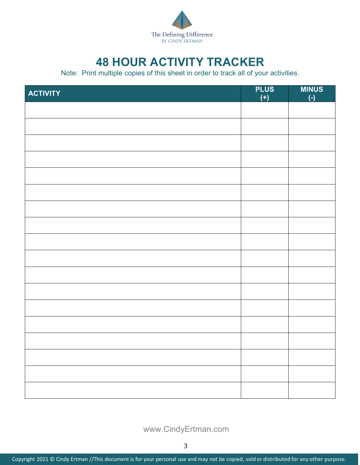

## **48 HOUR ACTIVITY TRACKER**

Note: Print multiple copies of this sheet in order to track all of your activities.

| <b>ACTIVITY</b> | <b>PLUS</b><br>$(+)$ | <b>MINUS</b><br>$\overline{(-)}$ |
|-----------------|----------------------|----------------------------------|
|                 |                      |                                  |
|                 |                      |                                  |
|                 |                      |                                  |
|                 |                      |                                  |
|                 |                      |                                  |
|                 |                      |                                  |
|                 |                      |                                  |
|                 |                      |                                  |
|                 |                      |                                  |
|                 |                      |                                  |
|                 |                      |                                  |
|                 |                      |                                  |
|                 |                      |                                  |
|                 |                      |                                  |
|                 |                      |                                  |
|                 |                      |                                  |
|                 |                      |                                  |
|                 |                      |                                  |

www.CindyErtman.com